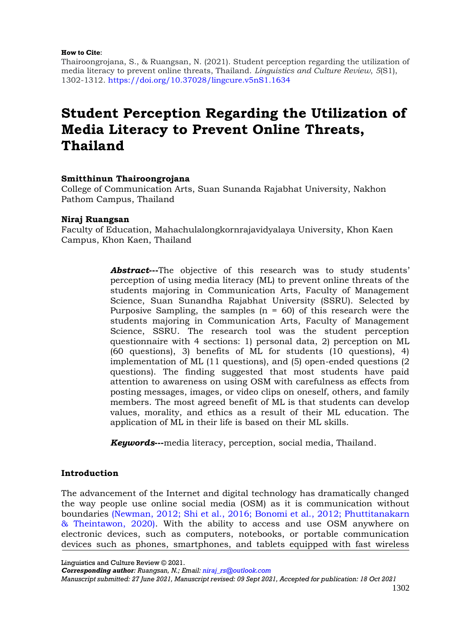#### **How to Cite**:

Thairoongrojana, S., & Ruangsan, N. (2021). Student perception regarding the utilization of media literacy to prevent online threats, Thailand. *Linguistics and Culture Review*, *5*(S1), 1302-1312. [https://doi.org/10.37028/lingcure.v5nS1.1634](https://lingcure.org/index.php/journal/article/view/1634)

# **Student Perception Regarding the Utilization of Media Literacy to Prevent Online Threats, Thailand**

## **Smitthinun Thairoongrojana**

College of Communication Arts, Suan Sunanda Rajabhat University, Nakhon Pathom Campus, Thailand

## **Niraj Ruangsan**

Faculty of Education, Mahachulalongkornrajavidyalaya University, Khon Kaen Campus, Khon Kaen, Thailand

> *Abstract*—-The objective of this research was to study students' perception of using media literacy (ML) to prevent online threats of the students majoring in Communication Arts, Faculty of Management Science, Suan Sunandha Rajabhat University (SSRU). Selected by Purposive Sampling, the samples  $(n = 60)$  of this research were the students majoring in Communication Arts, Faculty of Management Science, SSRU. The research tool was the student perception questionnaire with 4 sections: 1) personal data, 2) perception on ML (60 questions), 3) benefits of ML for students (10 questions), 4) implementation of ML (11 questions), and (5) open-ended questions (2 questions). The finding suggested that most students have paid attention to awareness on using OSM with carefulness as effects from posting messages, images, or video clips on oneself, others, and family members. The most agreed benefit of ML is that students can develop values, morality, and ethics as a result of their ML education. The application of ML in their life is based on their ML skills.

*Keywords*—-media literacy, perception, social media, Thailand.

## **Introduction**

The advancement of the Internet and digital technology has dramatically changed the way people use online social media (OSM) as it is communication without boundaries (Newman, 2012; Shi [et al., 2016; Bonomi et al.,](#page-7-0) 2012; Phuttitanakarn [& Theintawon, 2020\).](#page-7-0) With the ability to access and use OSM anywhere on electronic devices, such as computers, notebooks, or portable communication devices such as phones, smartphones, and tablets equipped with fast wireless

Linguistics and Culture Review © 2021.

*Corresponding author: Ruangsan, N.; Email: [niraj\\_rs@outlook.com](mailto:niraj_rs@outlook.com)*

*Manuscript submitted: 27 June 2021, Manuscript revised: 09 Sept 2021, Accepted for publication: 18 Oct 2021*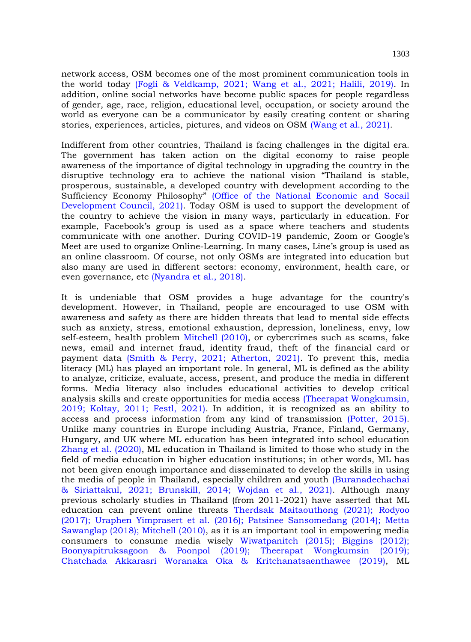network access, OSM becomes one of the most prominent communication tools in the world today [\(Fogli & Veldkamp, 2021; Wang et al., 2021; Halili, 2019\).](#page-7-0) In addition, online social networks have become public spaces for people regardless of gender, age, race, religion, educational level, occupation, or society around the world as everyone can be a communicator by easily creating content or sharing stories, experiences, articles, pictures, and videos on OSM [\(Wang et al., 2021\).](#page-7-0)

Indifferent from other countries, Thailand is facing challenges in the digital era. The government has taken action on the digital economy to raise people awareness of the importance of digital technology in upgrading the country in the disruptive technology era to achieve the national vision "Thailand is stable, prosperous, sustainable, a developed country with development according to the Sufficiency Economy Philosophy" [\(Office of the National Economic and Socail](#page-7-0)  [Development Council, 2021\).](#page-7-0) Today OSM is used to support the development of the country to achieve the vision in many ways, particularly in education. For example, Facebook's group is used as a space where teachers and students communicate with one another. During COVID-19 pandemic, Zoom or Google's Meet are used to organize Online-Learning. In many cases, Line's group is used as an online classroom. Of course, not only OSMs are integrated into education but also many are used in different sectors: economy, environment, health care, or even governance, etc [\(Nyandra et al., 2018\).](#page-7-0)

It is undeniable that OSM provides a huge advantage for the country's development. However, in Thailand, people are encouraged to use OSM with awareness and safety as there are hidden threats that lead to mental side effects such as anxiety, stress, emotional exhaustion, depression, loneliness, envy, low self-esteem, health problem [Mitchell \(2010\),](#page-7-0) or cybercrimes such as scams, fake news, email and internet fraud, identity fraud, theft of the financial card or payment data [\(Smith & Perry, 2021; Atherton, 2021\).](#page-7-0) To prevent this, media literacy (ML) has played an important role. In general, ML is defined as the ability to analyze, criticize, evaluate, access, present, and produce the media in different forms. Media literacy also includes educational activities to develop critical analysis skills and create opportunities for media access [\(Theerapat Wongkumsin,](#page-7-0)  [2019; Koltay, 2011; Festl, 2021\).](#page-7-0) In addition, it is recognized as an ability to access and process information from any kind of transmission [\(Potter, 2015\).](#page-7-0) Unlike many countries in Europe including Austria, France, Finland, Germany, Hungary, and UK where ML education has been integrated into school education [Zhang et al.](#page-7-0) (2020), ML education in Thailand is limited to those who study in the field of media education in higher education institutions; in other words, ML has not been given enough importance and disseminated to develop the skills in using the media of people in Thailand, especially children and youth [\(Buranadechachai](#page-7-0)  [& Siriattakul, 2021; Brunskill, 2014; Wojdan et al., 2021\).](#page-7-0) Although many previous scholarly studies in Thailand (from 2011-2021) have asserted that ML education can prevent online threats [Therdsak Maitaouthong \(2021\); Rodyoo](#page-7-0)  (2017); Uraphen Yimprasert et al. [\(2016\); Patsinee Sansomedang \(2014\); Metta](#page-7-0)  [Sawanglap \(2018\); Mitchell \(2010\),](#page-7-0) as it is an important tool in empowering media consumers to consume media wisely [Wiwatpanitch \(2015\); Biggins \(2012\);](#page-7-0)  [Boonyapitruksagoon & Poonpol \(2019\); Theerapat Wongkumsin \(2019\);](#page-7-0)  [Chatchada Akkarasri Woranaka Oka & Kritchanatsaenthawee](#page-7-0) (2019), ML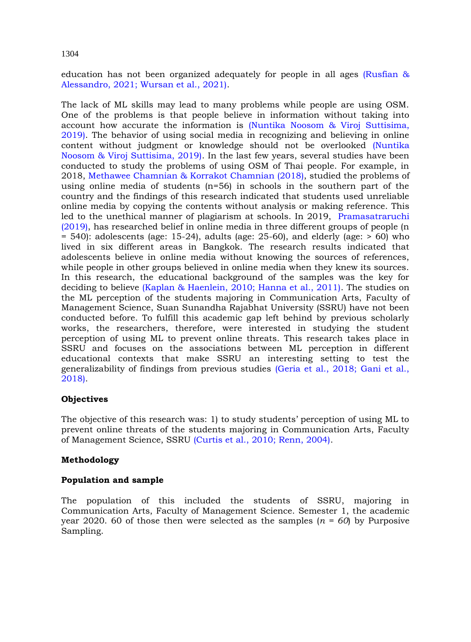education has not been organized adequately for people in all ages [\(Rusfian &](#page-7-0)  [Alessandro, 2021; Wursan et al., 2021\).](#page-7-0)

The lack of ML skills may lead to many problems while people are using OSM. One of the problems is that people believe in information without taking into account how accurate the information is [\(Nuntika Noosom & Viroj Suttisima,](#page-7-0)  [2019\).](#page-7-0) The behavior of using social media in recognizing and believing in online content without judgment or knowledge should not be overlooked [\(Nuntika](#page-7-0)  [Noosom & Viroj Suttisima, 2019\).](#page-7-0) In the last few years, several studies have been conducted to study the problems of using OSM of Thai people. For example, in 2018, Methawee Chamnian & [Korrakot Chamnian \(2018\),](#page-7-0) studied the problems of using online media of students  $(n=56)$  in schools in the southern part of the country and the findings of this research indicated that students used unreliable online media by copying the contents without analysis or making reference. This led to the unethical manner of plagiarism at schools. In 2019, [Pramasatraruchi](#page-7-0) [\(2019\),](#page-7-0) has researched belief in online media in three different groups of people (n  $= 540$ : adolescents (age: 15-24), adults (age: 25-60), and elderly (age:  $> 60$ ) who lived in six different areas in Bangkok. The research results indicated that adolescents believe in online media without knowing the sources of references, while people in other groups believed in online media when they knew its sources. In this research, the educational background of the samples was the key for deciding to believe [\(Kaplan & Haenlein, 2010; Hanna et al., 2011\).](#page-7-0) The studies on the ML perception of the students majoring in Communication Arts, Faculty of Management Science, Suan Sunandha Rajabhat University (SSRU) have not been conducted before. To fulfill this academic gap left behind by previous scholarly works, the researchers, therefore, were interested in studying the student perception of using ML to prevent online threats. This research takes place in SSRU and focuses on the associations between ML perception in different educational contexts that make SSRU an interesting setting to test the generalizability of findings from previous studies [\(Geria et al., 2018; Gani et al.,](#page-7-0)  [2018\).](#page-7-0)

## **Objectives**

The objective of this research was: 1) to study students' perception of using ML to prevent online threats of the students majoring in Communication Arts, Faculty of Management Science, SSRU [\(Curtis et al., 2010; Renn, 2004\).](#page-7-0)

## **Methodology**

## **Population and sample**

The population of this included the students of SSRU, majoring in Communication Arts, Faculty of Management Science. Semester 1, the academic year 2020. 60 of those then were selected as the samples  $(n = 60)$  by Purposive Sampling.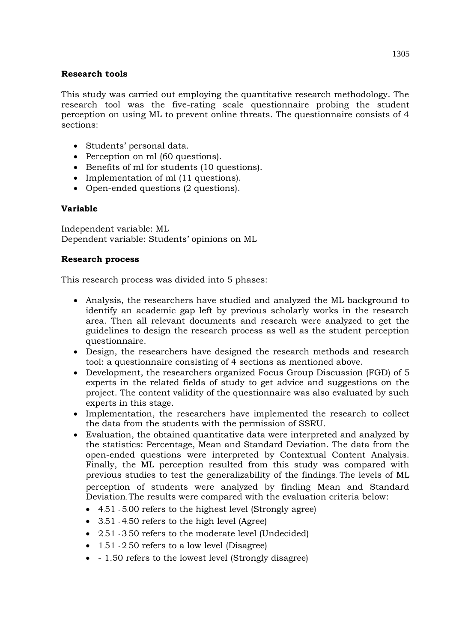## **Research tools**

This study was carried out employing the quantitative research methodology. The research tool was the five-rating scale questionnaire probing the student perception on using ML to prevent online threats. The questionnaire consists of 4 sections:

- Students' personal data.
- Perception on ml (60 questions).
- Benefits of ml for students (10 questions).
- Implementation of ml (11 questions).
- Open-ended questions (2 questions).

# **Variable**

Independent variable: ML Dependent variable: Students' opinions on ML

# **Research process**

This research process was divided into 5 phases:

- Analysis, the researchers have studied and analyzed the ML background to identify an academic gap left by previous scholarly works in the research area. Then all relevant documents and research were analyzed to get the guidelines to design the research process as well as the student perception questionnaire.
- Design, the researchers have designed the research methods and research tool: a questionnaire consisting of 4 sections as mentioned above.
- Development, the researchers organized Focus Group Discussion (FGD) of 5 experts in the related fields of study to get advice and suggestions on the project. The content validity of the questionnaire was also evaluated by such experts in this stage.
- Implementation, the researchers have implemented the research to collect the data from the students with the permission of SSRU.
- Evaluation, the obtained quantitative data were interpreted and analyzed by the statistics: Percentage, Mean and Standard Deviation. The data from the open-ended questions were interpreted by Contextual Content Analysis. Finally, the ML perception resulted from this study was compared with previous studies to test the generalizability of the findings. The levels of ML perception of students were analyzed by finding Mean and Standard Deviation. The results were compared with the evaluation criteria below:
	- 4.51 5.00 refers to the highest level (Strongly agree)
	- 3.51 4.50 refers to the high level (Agree)
	- 2.51 3.50 refers to the moderate level (Undecided)
	- $\bullet$  1.51 2.50 refers to a low level (Disagree)
	- 1.50 refers to the lowest level (Strongly disagree)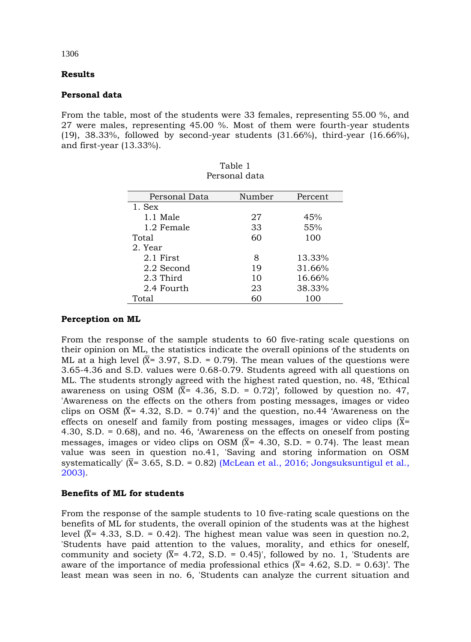## **Results**

### **Personal data**

From the table, most of the students were 33 females, representing 55.00 %, and 27 were males, representing 45.00 %. Most of them were fourth-year students (19), 38.33%, followed by second-year students (31.66%), third-year (16.66%), and first-year (13.33%).

> Table 1 Personal data

| Personal data |        |         |
|---------------|--------|---------|
| Personal Data | Number | Percent |
| 1. Sex        |        |         |
| 1.1 Male      | 27     | 45%     |
| 1.2 Female    | 33     | 55%     |
| Total         | 60     | 100     |
| 2. Year       |        |         |
| 2.1 First     | 8      | 13.33%  |
| 2.2 Second    | 19     | 31.66%  |
| 2.3 Third     | 10     | 16.66%  |
| 2.4 Fourth    | 23     | 38.33%  |
| Total         | 60     | 100     |

**Perception on ML**

From the response of the sample students to 60 five-rating scale questions on their opinion on ML, the statistics indicate the overall opinions of the students on ML at a high level  $(\overline{X} = 3.97, S.D. = 0.79)$ . The mean values of the questions were 3.65-4.36 and S.D. values were 0.68-0.79. Students agreed with all questions on ML. The students strongly agreed with the highest rated question, no. 48, 'Ethical awareness on using OSM  $(\overline{X}$ = 4.36, S.D. = 0.72)', followed by question no. 47, 'Awareness on the effects on the others from posting messages, images or video clips on OSM  $(\overline{X}$ = 4.32, S.D. = 0.74)' and the question, no.44 'Awareness on the effects on oneself and family from posting messages, images or video clips  $(\overline{X}$ = 4.30, S.D. = 0.68), and no. 46, 'Awareness on the effects on oneself from posting messages, images or video clips on OSM  $(X= 4.30, S.D. = 0.74)$ . The least mean value was seen in question no.41, 'Saving and storing information on OSM systematically'  $(X = 3.65, S.D. = 0.82)$  (McLean et al., 2016; Jongsuksuntigul et al., [2003\).](#page-7-0)

## **Benefits of ML for students**

From the response of the sample students to 10 five-rating scale questions on the benefits of ML for students, the overall opinion of the students was at the highest level  $(\overline{X} = 4.33, S.D. = 0.42)$ . The highest mean value was seen in question no.2, 'Students have paid attention to the values, morality, and ethics for oneself, community and society  $(\overline{X} = 4.72, S.D. = 0.45)$ , followed by no. 1, Students are aware of the importance of media professional ethics  $(\overline{X} = 4.62, S.D. = 0.63)$ . The least mean was seen in no. 6, 'Students can analyze the current situation and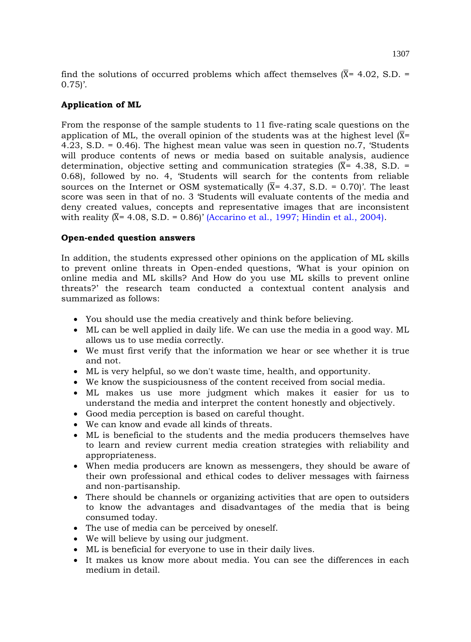find the solutions of occurred problems which affect themselves  $(\overline{X} = 4.02, S.D. =$  $0.75$ .

## **Application of ML**

From the response of the sample students to 11 five-rating scale questions on the application of ML, the overall opinion of the students was at the highest level  $(X = \mathbb{R})$ 4.23, S.D. = 0.46). The highest mean value was seen in question no.7, 'Students will produce contents of news or media based on suitable analysis, audience determination, objective setting and communication strategies  $(\overline{X} = 4.38, S.D. =$ 0.68), followed by no. 4, 'Students will search for the contents from reliable sources on the Internet or OSM systematically  $(X = 4.37, S.D. = 0.70)$ . The least score was seen in that of no. 3 'Students will evaluate contents of the media and deny created values, concepts and representative images that are inconsistent with reality  $(X = 4.08, S.D. = 0.86)'$  [\(Accarino et al., 1997; Hindin et al., 2004\).](#page-7-0)

## **Open-ended question answers**

In addition, the students expressed other opinions on the application of ML skills to prevent online threats in Open-ended questions, 'What is your opinion on online media and ML skills? And How do you use ML skills to prevent online threats?' the research team conducted a contextual content analysis and summarized as follows:

- You should use the media creatively and think before believing.
- ML can be well applied in daily life. We can use the media in a good way. ML allows us to use media correctly.
- We must first verify that the information we hear or see whether it is true and not.
- ML is very helpful, so we don't waste time, health, and opportunity.
- We know the suspiciousness of the content received from social media.
- ML makes us use more judgment which makes it easier for us to understand the media and interpret the content honestly and objectively.
- Good media perception is based on careful thought.
- We can know and evade all kinds of threats.
- ML is beneficial to the students and the media producers themselves have to learn and review current media creation strategies with reliability and appropriateness.
- When media producers are known as messengers, they should be aware of their own professional and ethical codes to deliver messages with fairness and non-partisanship.
- There should be channels or organizing activities that are open to outsiders to know the advantages and disadvantages of the media that is being consumed today.
- The use of media can be perceived by oneself.
- We will believe by using our judgment.
- ML is beneficial for everyone to use in their daily lives.
- It makes us know more about media. You can see the differences in each medium in detail.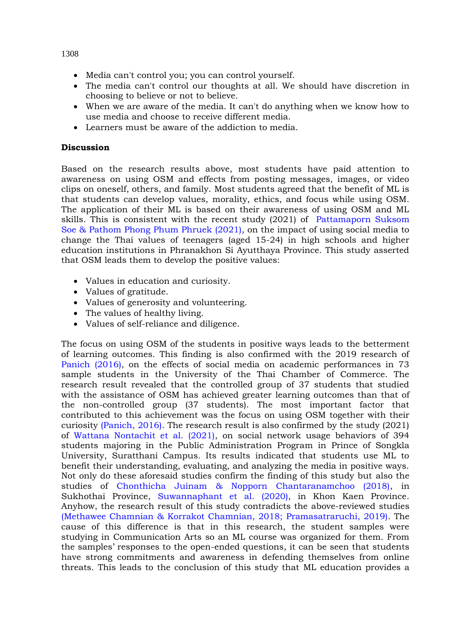- Media can't control you; you can control yourself.
- The media can't control our thoughts at all. We should have discretion in choosing to believe or not to believe.
- When we are aware of the media. It can't do anything when we know how to use media and choose to receive different media.
- Learners must be aware of the addiction to media.

## **Discussion**

Based on the research results above, most students have paid attention to awareness on using OSM and effects from posting messages, images, or video clips on oneself, others, and family. Most students agreed that the benefit of ML is that students can develop values, morality, ethics, and focus while using OSM. The application of their ML is based on their awareness of using OSM and ML skills. This is consistent with the recent study (2021) of [Pattamaporn Suksom](#page-7-0)  Soe & Pathom Phong Phum Phruek (2021), on the impact of using social media to change the Thai values of teenagers (aged 15-24) in high schools and higher education institutions in Phranakhon Si Ayutthaya Province. This study asserted that OSM leads them to develop the positive values:

- Values in education and curiosity.
- Values of gratitude.
- Values of generosity and volunteering.
- The values of healthy living.
- Values of self-reliance and diligence.

The focus on using OSM of the students in positive ways leads to the betterment of learning outcomes. This finding is also confirmed with the 2019 research of [Panich \(2016\),](#page-7-0) on the effects of social media on academic performances in 73 sample students in the University of the Thai Chamber of Commerce. The research result revealed that the controlled group of 37 students that studied with the assistance of OSM has achieved greater learning outcomes than that of the non-controlled group (37 students). The most important factor that contributed to this achievement was the focus on using OSM together with their curiosity [\(Panich, 2016\).](#page-7-0) The research result is also confirmed by the study (2021) of [Wattana Nontachit et al. \(2021\),](#page-7-0) on social network usage behaviors of 394 students majoring in the Public Administration Program in Prince of Songkla University, Suratthani Campus. Its results indicated that students use ML to benefit their understanding, evaluating, and analyzing the media in positive ways. Not only do these aforesaid studies confirm the finding of this study but also the studies of Chonthicha Juinam & [Nopporn Chantaranamchoo \(2018\),](#page-7-0) in Sukhothai Province, [Suwannaphant](#page-7-0) et al. (2020), in Khon Kaen Province. Anyhow, the research result of this study contradicts the above-reviewed studies [\(Methawee Chamnian & Korrakot Chamnian, 2018; Pramasatraruchi, 2019\).](#page-7-0) The cause of this difference is that in this research, the student samples were studying in Communication Arts so an ML course was organized for them. From the samples' responses to the open-ended questions, it can be seen that students have strong commitments and awareness in defending themselves from online threats. This leads to the conclusion of this study that ML education provides a

1308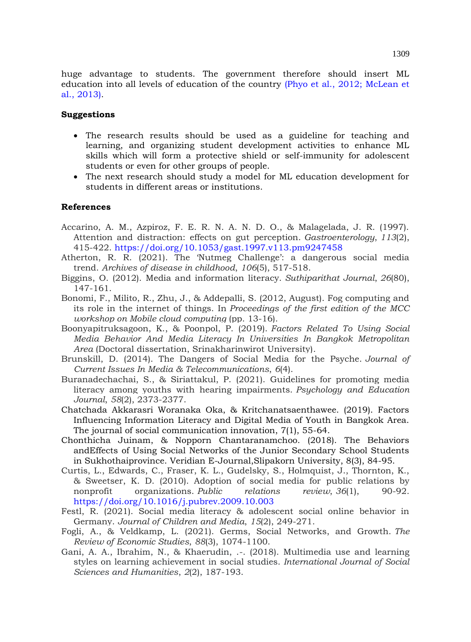huge advantage to students. The government therefore should insert ML education into all levels of education of the country [\(Phyo et al., 2012; McLean et](#page-7-0)  [al., 2013\).](#page-7-0)

## **Suggestions**

- The research results should be used as a guideline for teaching and learning, and organizing student development activities to enhance ML skills which will form a protective shield or self-immunity for adolescent students or even for other groups of people.
- The next research should study a model for ML education development for students in different areas or institutions.

#### <span id="page-7-0"></span>**References**

- Accarino, A. M., Azpiroz, F. E. R. N. A. N. D. O., & Malagelada, J. R. (1997). Attention and distraction: effects on gut perception. *Gastroenterology*, *113*(2), 415-422. <https://doi.org/10.1053/gast.1997.v113.pm9247458>
- Atherton, R. R. (2021). The 'Nutmeg Challenge': a dangerous social media trend. *Archives of disease in childhood*, *106*(5), 517-518.
- Biggins, O. (2012). Media and information literacy. *Suthiparithat Journal*, *26*(80), 147-161.
- Bonomi, F., Milito, R., Zhu, J., & Addepalli, S. (2012, August). Fog computing and its role in the internet of things. In *Proceedings of the first edition of the MCC workshop on Mobile cloud computing* (pp. 13-16).
- Boonyapitruksagoon, K., & Poonpol, P. (2019). *Factors Related To Using Social Media Behavior And Media Literacy In Universities In Bangkok Metropolitan Area* (Doctoral dissertation, Srinakharinwirot University).
- Brunskill, D. (2014). The Dangers of Social Media for the Psyche. *Journal of Current Issues In Media & Telecommunications*, *6*(4).
- Buranadechachai, S., & Siriattakul, P. (2021). Guidelines for promoting media literacy among youths with hearing impairments. *Psychology and Education Journal*, *58*(2), 2373-2377.
- Chatchada Akkarasri Woranaka Oka, & Kritchanatsaenthawee. (2019). Factors Influencing Information Literacy and Digital Media of Youth in Bangkok Area. The journal of social communication innovation, 7(1), 55-64.
- Chonthicha Juinam, & Nopporn Chantaranamchoo. (2018). The Behaviors andEffects of Using Social Networks of the Junior Secondary School Students in Sukhothaiprovince. Veridian E-Journal,Slipakorn University, 8(3), 84-95.
- Curtis, L., Edwards, C., Fraser, K. L., Gudelsky, S., Holmquist, J., Thornton, K., & Sweetser, K. D. (2010). Adoption of social media for public relations by nonprofit organizations. *Public relations review*, *36*(1), 90-92. <https://doi.org/10.1016/j.pubrev.2009.10.003>
- Festl, R. (2021). Social media literacy & adolescent social online behavior in Germany. *Journal of Children and Media*, *15*(2), 249-271.
- Fogli, A., & Veldkamp, L. (2021). Germs, Social Networks, and Growth. *The Review of Economic Studies*, *88*(3), 1074-1100.
- Gani, A. A., Ibrahim, N., & Khaerudin, .-. (2018). Multimedia use and learning styles on learning achievement in social studies. *International Journal of Social Sciences and Humanities*, *2*(2), 187-193.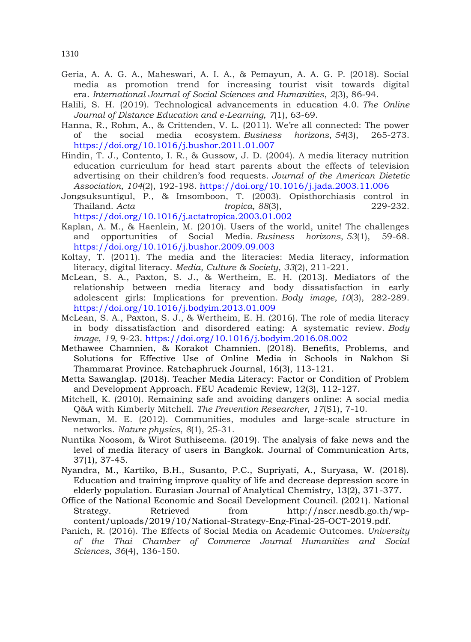- Geria, A. A. G. A., Maheswari, A. I. A., & Pemayun, A. A. G. P. (2018). Social media as promotion trend for increasing tourist visit towards digital era. *International Journal of Social Sciences and Humanities*, *2*(3), 86-94.
- Halili, S. H. (2019). Technological advancements in education 4.0. *The Online Journal of Distance Education and e-Learning*, *7*(1), 63-69.
- Hanna, R., Rohm, A., & Crittenden, V. L. (2011). We're all connected: The power of the social media ecosystem. *Business horizons*, *54*(3), 265-273. <https://doi.org/10.1016/j.bushor.2011.01.007>
- Hindin, T. J., Contento, I. R., & Gussow, J. D. (2004). A media literacy nutrition education curriculum for head start parents about the effects of television advertising on their children's food requests. *Journal of the American Dietetic Association*, *104*(2), 192-198. <https://doi.org/10.1016/j.jada.2003.11.006>
- Jongsuksuntigul, P., & Imsomboon, T. (2003). Opisthorchiasis control in Thailand. *Acta tropica*, *88*(3), 229-232. <https://doi.org/10.1016/j.actatropica.2003.01.002>
- Kaplan, A. M., & Haenlein, M. (2010). Users of the world, unite! The challenges and opportunities of Social Media. *Business horizons*, *53*(1), 59-68. <https://doi.org/10.1016/j.bushor.2009.09.003>
- Koltay, T. (2011). The media and the literacies: Media literacy, information literacy, digital literacy. *Media, Culture & Society*, *33*(2), 211-221.
- McLean, S. A., Paxton, S. J., & Wertheim, E. H. (2013). Mediators of the relationship between media literacy and body dissatisfaction in early adolescent girls: Implications for prevention. *Body image*, *10*(3), 282-289. <https://doi.org/10.1016/j.bodyim.2013.01.009>
- McLean, S. A., Paxton, S. J., & Wertheim, E. H. (2016). The role of media literacy in body dissatisfaction and disordered eating: A systematic review. *Body image*, *19*, 9-23. <https://doi.org/10.1016/j.bodyim.2016.08.002>
- Methawee Chamnien, & Korakot Chamnien. (2018). Benefits, Problems, and Solutions for Effective Use of Online Media in Schools in Nakhon Si Thammarat Province. Ratchaphruek Journal, 16(3), 113-121.
- Metta Sawanglap. (2018). Teacher Media Literacy: Factor or Condition of Problem and Development Approach. FEU Academic Review, 12(3), 112-127.
- Mitchell, K. (2010). Remaining safe and avoiding dangers online: A social media Q&A with Kimberly Mitchell. *The Prevention Researcher*, *17*(S1), 7-10.
- Newman, M. E. (2012). Communities, modules and large-scale structure in networks. *Nature physics*, *8*(1), 25-31.
- Nuntika Noosom, & Wirot Suthiseema. (2019). The analysis of fake news and the level of media literacy of users in Bangkok. Journal of Communication Arts, 37(1), 37-45.
- Nyandra, M., Kartiko, B.H., Susanto, P.C., Supriyati, A., Suryasa, W. (2018). Education and training improve quality of life and decrease depression score in elderly population. Eurasian Journal of Analytical Chemistry, 13(2), 371-377.
- Office of the National Economic and Socail Development Council. (2021). National Strategy. Retrieved from http://nscr.nesdb.go.th/wpcontent/uploads/2019/10/National-Strategy-Eng-Final-25-OCT-2019.pdf.
- Panich, R. (2016). The Effects of Social Media on Academic Outcomes. *University of the Thai Chamber of Commerce Journal Humanities and Social Sciences*, *36*(4), 136-150.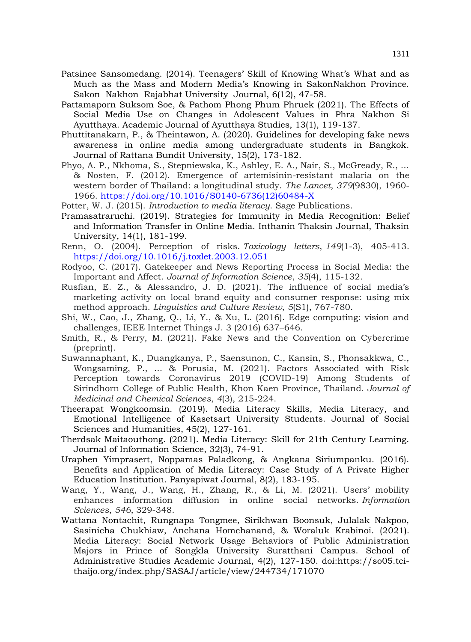- Patsinee Sansomedang. (2014). Teenagers' Skill of Knowing What's What and as Much as the Mass and Modern Media's Knowing in SakonNakhon Province. Sakon Nakhon Rajabhat University Journal, 6(12), 47-58.
- Pattamaporn Suksom Soe, & Pathom Phong Phum Phruek (2021). The Effects of Social Media Use on Changes in Adolescent Values in Phra Nakhon Si Ayutthaya. Academic Journal of Ayutthaya Studies, 13(1), 119-137.
- Phuttitanakarn, P., & Theintawon, A. (2020). Guidelines for developing fake news awareness in online media among undergraduate students in Bangkok. Journal of Rattana Bundit University, 15(2), 173-182.
- Phyo, A. P., Nkhoma, S., Stepniewska, K., Ashley, E. A., Nair, S., McGready, R., ... & Nosten, F. (2012). Emergence of artemisinin-resistant malaria on the western border of Thailand: a longitudinal study. *The Lancet*, *379*(9830), 1960- 1966. [https://doi.org/10.1016/S0140-6736\(12\)60484-X](https://doi.org/10.1016/S0140-6736(12)60484-X)
- Potter, W. J. (2015). *Introduction to media literacy*. Sage Publications.
- Pramasatraruchi. (2019). Strategies for Immunity in Media Recognition: Belief and Information Transfer in Online Media. Inthanin Thaksin Journal, Thaksin University, 14(1), 181-199.
- Renn, O. (2004). Perception of risks. *Toxicology letters*, *149*(1-3), 405-413. <https://doi.org/10.1016/j.toxlet.2003.12.051>
- Rodyoo, C. (2017). Gatekeeper and News Reporting Process in Social Media: the Important and Affect. *Journal of Information Science*, *35*(4), 115-132.
- Rusfian, E. Z., & Alessandro, J. D. (2021). The influence of social media's marketing activity on local brand equity and consumer response: using mix method approach. *Linguistics and Culture Review*, *5*(S1), 767-780.
- Shi, W., Cao, J., Zhang, Q., Li, Y., & Xu, L. (2016). Edge computing: vision and challenges, IEEE Internet Things J. 3 (2016) 637–646.
- Smith, R., & Perry, M. (2021). Fake News and the Convention on Cybercrime (preprint).
- Suwannaphant, K., Duangkanya, P., Saensunon, C., Kansin, S., Phonsakkwa, C., Wongsaming, P., ... & Porusia, M. (2021). Factors Associated with Risk Perception towards Coronavirus 2019 (COVID-19) Among Students of Sirindhorn College of Public Health, Khon Kaen Province, Thailand. *Journal of Medicinal and Chemical Sciences*, *4*(3), 215-224.
- Theerapat Wongkoomsin. (2019). Media Literacy Skills, Media Literacy, and Emotional Intelligence of Kasetsart University Students. Journal of Social Sciences and Humanities, 45(2), 127-161.
- Therdsak Maitaouthong. (2021). Media Literacy: Skill for 21th Century Learning. Journal of Information Science, 32(3), 74-91.
- Uraphen Yimprasert, Noppamas Paladkong, & Angkana Siriumpanku. (2016). Benefits and Application of Media Literacy: Case Study of A Private Higher Education Institution. Panyapiwat Journal, 8(2), 183-195.
- Wang, Y., Wang, J., Wang, H., Zhang, R., & Li, M. (2021). Users' mobility enhances information diffusion in online social networks. *Information Sciences*, *546*, 329-348.
- Wattana Nontachit, Rungnapa Tongmee, Sirikhwan Boonsuk, Julalak Nakpoo, Sasinicha Chukhiaw, Anchana Homchanand, & Woraluk Krabinoi. (2021). Media Literacy: Social Network Usage Behaviors of Public Administration Majors in Prince of Songkla University Suratthani Campus. School of Administrative Studies Academic Journal, 4(2), 127-150. doi:https://so05.tcithaijo.org/index.php/SASAJ/article/view/244734/171070